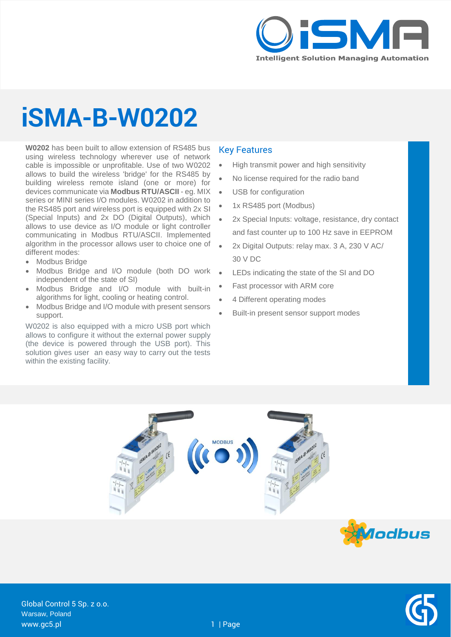

## **iSMA-B-W0202**

**W0202** has been built to allow extension of RS485 bus using wireless technology wherever use of network cable is impossible or unprofitable. Use of two W0202 allows to build the wireless 'bridge' for the RS485 by building wireless remote island (one or more) for devices communicate via **Modbus RTU/ASCII** - eg. MIX series or MINI series I/O modules. W0202 in addition to the RS485 port and wireless port is equipped with 2x SI (Special Inputs) and 2x DO (Digital Outputs), which allows to use device as I/O module or light controller communicating in Modbus RTU/ASCII. Implemented algorithm in the processor allows user to choice one of different modes:

- Modbus Bridge
- Modbus Bridge and I/O module (both DO work independent of the state of SI)
- Modbus Bridge and I/O module with built-in algorithms for light, cooling or heating control.
- Modbus Bridge and I/O module with present sensors support.

W0202 is also equipped with a micro USB port which allows to configure it without the external power supply (the device is powered through the USB port). This solution gives user an easy way to carry out the tests within the existing facility.

#### Key Features

- High transmit power and high sensitivity
- No license required for the radio band
- USB for configuration
- 1x RS485 port (Modbus)
- 2x Special Inputs: voltage, resistance, dry contact and fast counter up to 100 Hz save in EEPROM
- 2x Digital Outputs: relay max. 3 A, 230 V AC/ 30 V DC
- LEDs indicating the state of the SI and DO
- Fast processor with ARM core
- 4 Different operating modes
- Built-in present sensor support modes





Global Control 5 Sp. z o.o. Warsaw, Poland www.gc5.pl 1 | Page